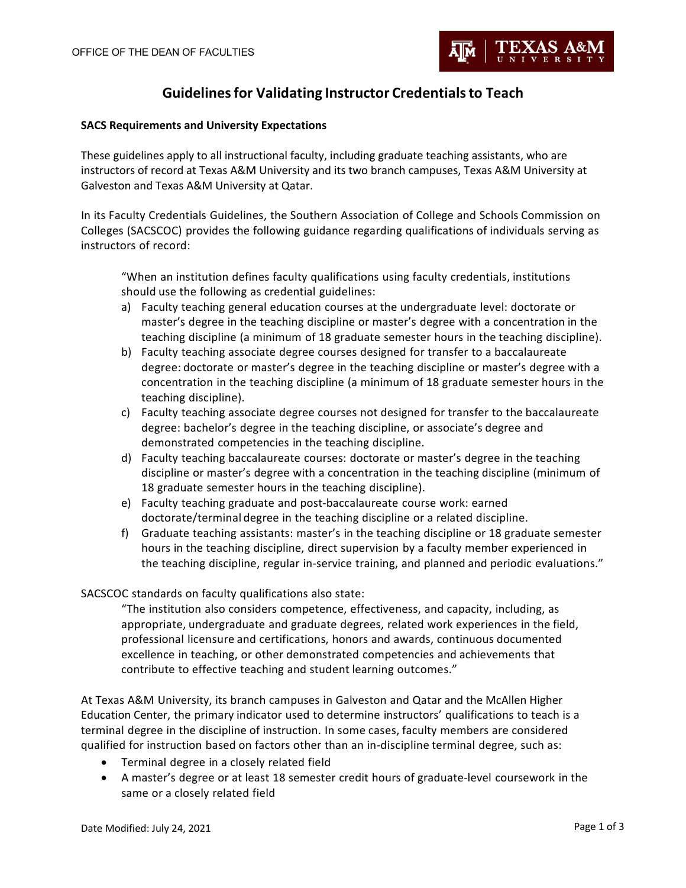# **Guidelinesfor Validating Instructor Credentialsto Teach**

### **SACS Requirements and University Expectations**

These guidelines apply to all instructional faculty, including graduate teaching assistants, who are instructors of record at Texas A&M University and its two branch campuses, Texas A&M University at Galveston and Texas A&M University at Qatar.

In its Faculty Credentials Guidelines, the Southern Association of College and Schools Commission on Colleges (SACSCOC) provides the following guidance regarding qualifications of individuals serving as instructors of record:

"When an institution defines faculty qualifications using faculty credentials, institutions should use the following as credential guidelines:

- a) Faculty teaching general education courses at the undergraduate level: doctorate or master's degree in the teaching discipline or master's degree with a concentration in the teaching discipline (a minimum of 18 graduate semester hours in the teaching discipline).
- b) Faculty teaching associate degree courses designed for transfer to a baccalaureate degree: doctorate or master's degree in the teaching discipline or master's degree with a concentration in the teaching discipline (a minimum of 18 graduate semester hours in the teaching discipline).
- c) Faculty teaching associate degree courses not designed for transfer to the baccalaureate degree: bachelor's degree in the teaching discipline, or associate's degree and demonstrated competencies in the teaching discipline.
- d) Faculty teaching baccalaureate courses: doctorate or master's degree in the teaching discipline or master's degree with a concentration in the teaching discipline (minimum of 18 graduate semester hours in the teaching discipline).
- e) Faculty teaching graduate and post-baccalaureate course work: earned doctorate/terminal degree in the teaching discipline or a related discipline.
- f) Graduate teaching assistants: master's in the teaching discipline or 18 graduate semester hours in the teaching discipline, direct supervision by a faculty member experienced in the teaching discipline, regular in-service training, and planned and periodic evaluations."

## SACSCOC standards on faculty qualifications also state:

"The institution also considers competence, effectiveness, and capacity, including, as appropriate, undergraduate and graduate degrees, related work experiences in the field, professional licensure and certifications, honors and awards, continuous documented excellence in teaching, or other demonstrated competencies and achievements that contribute to effective teaching and student learning outcomes."

At Texas A&M University, its branch campuses in Galveston and Qatar and the McAllen Higher Education Center, the primary indicator used to determine instructors' qualifications to teach is a terminal degree in the discipline of instruction. In some cases, faculty members are considered qualified for instruction based on factors other than an in-discipline terminal degree, such as:

- Terminal degree in a closely related field
- A master's degree or at least 18 semester credit hours of graduate-level coursework in the same or a closely related field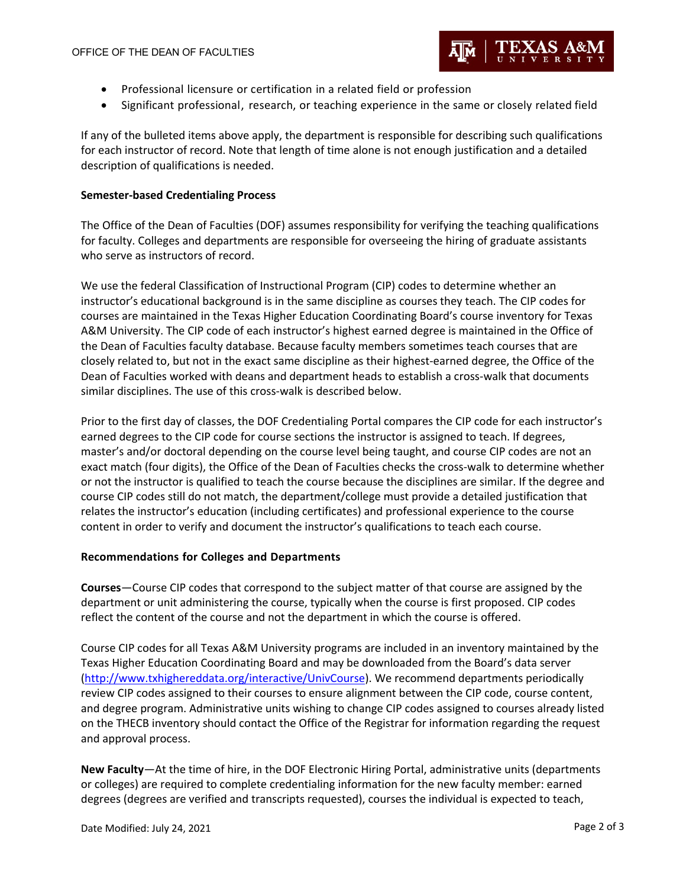

- Professional licensure or certification in a related field or profession
- Significant professional, research, or teaching experience in the same or closely related field

If any of the bulleted items above apply, the department is responsible for describing such qualifications for each instructor of record. Note that length of time alone is not enough justification and a detailed description of qualifications is needed.

## **Semester-based Credentialing Process**

The Office of the Dean of Faculties (DOF) assumes responsibility for verifying the teaching qualifications for faculty. Colleges and departments are responsible for overseeing the hiring of graduate assistants who serve as instructors of record.

We use the federal Classification of Instructional Program (CIP) codes to determine whether an instructor's educational background is in the same discipline as courses they teach. The CIP codes for courses are maintained in the Texas Higher Education Coordinating Board's course inventory for Texas A&M University. The CIP code of each instructor's highest earned degree is maintained in the Office of the Dean of Faculties faculty database. Because faculty members sometimes teach courses that are closely related to, but not in the exact same discipline as their highest-earned degree, the Office of the Dean of Faculties worked with deans and department heads to establish a cross-walk that documents similar disciplines. The use of this cross-walk is described below.

Prior to the first day of classes, the DOF Credentialing Portal compares the CIP code for each instructor's earned degrees to the CIP code for course sections the instructor is assigned to teach. If degrees, master's and/or doctoral depending on the course level being taught, and course CIP codes are not an exact match (four digits), the Office of the Dean of Faculties checks the cross-walk to determine whether or not the instructor is qualified to teach the course because the disciplines are similar. If the degree and course CIP codes still do not match, the department/college must provide a detailed justification that relates the instructor's education (including certificates) and professional experience to the course content in order to verify and document the instructor's qualifications to teach each course.

#### **Recommendations for Colleges and Departments**

**Courses**—Course CIP codes that correspond to the subject matter of that course are assigned by the department or unit administering the course, typically when the course is first proposed. CIP codes reflect the content of the course and not the department in which the course is offered.

Course CIP codes for all Texas A&M University programs are included in an inventory maintained by the Texas Higher Education Coordinating Board and may be downloaded from the Board's data server (http://www.txhighereddata.org/interactive/UnivCourse). We recommend departments periodically review CIP codes assigned to their courses to ensure alignment between the CIP code, course content, and degree program. Administrative units wishing to change CIP codes assigned to courses already listed on the THECB inventory should contact the Office of the Registrar for information regarding the request and approval process.

**New Faculty**—At the time of hire, in the DOF Electronic Hiring Portal, administrative units (departments or colleges) are required to complete credentialing information for the new faculty member: earned degrees (degrees are verified and transcripts requested), courses the individual is expected to teach,